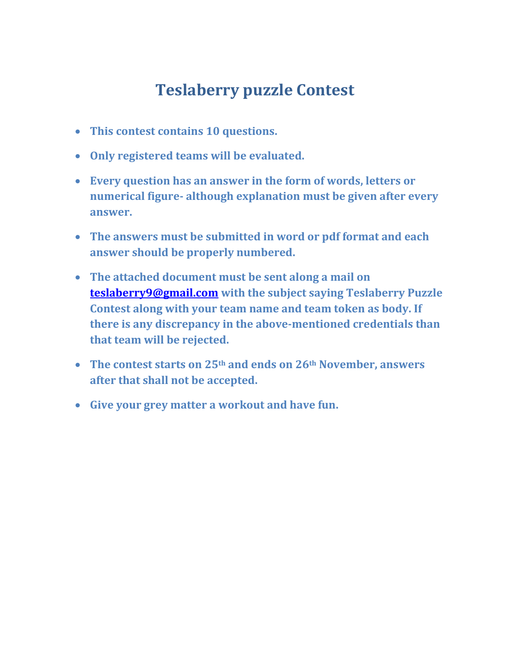## **Teslaberry puzzle Contest**

- **This contest contains 10 questions.**
- **Only registered teams will be evaluated.**
- **Every question has an answer in the form of words, letters or numerical figure- although explanation must be given after every answer.**
- **The answers must be submitted in word or pdf format and each answer should be properly numbered.**
- **The attached document must be sent along a mail on [teslaberry9@gmail.com](mailto:teslaberry9@gmail.com) with the subject saying Teslaberry Puzzle Contest along with your team name and team token as body. If there is any discrepancy in the above-mentioned credentials than that team will be rejected.**
- **The contest starts on 25th and ends on 26th November, answers after that shall not be accepted.**
- **Give your grey matter a workout and have fun.**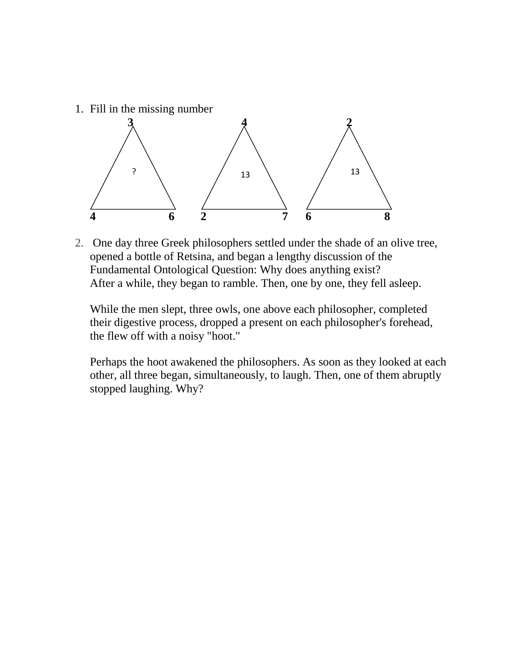1. Fill in the missing number



2. One day three Greek philosophers settled under the shade of an olive tree, opened a bottle of Retsina, and began a lengthy discussion of the Fundamental Ontological Question: Why does anything exist? After a while, they began to ramble. Then, one by one, they fell asleep.

While the men slept, three owls, one above each philosopher, completed their digestive process, dropped a present on each philosopher's forehead, the flew off with a noisy "hoot."

Perhaps the hoot awakened the philosophers. As soon as they looked at each other, all three began, simultaneously, to laugh. Then, one of them abruptly stopped laughing. Why?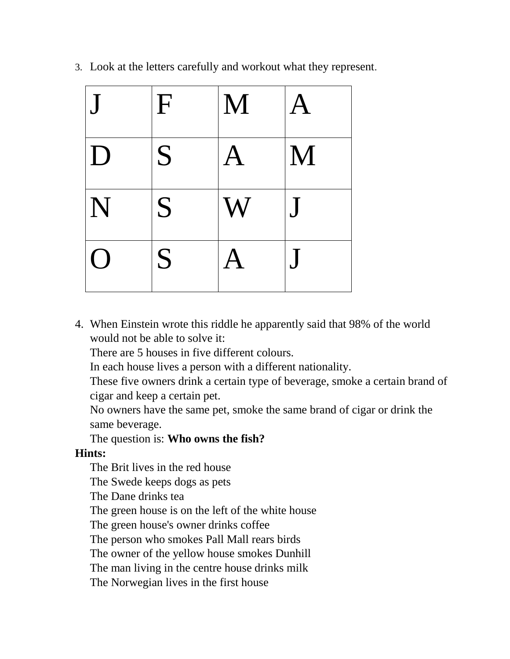| $\overline{\mathsf{J}}$ | $\mathbf{F}$ | M                         | $\bf A$ |
|-------------------------|--------------|---------------------------|---------|
| $\mathbf D$             | S            | $\bf A$                   | M       |
| $ \mathbf{N} $          | S            | $\boldsymbol{\mathsf{W}}$ | J       |
| ( )                     | S            | A                         |         |

3. Look at the letters carefully and workout what they represent.

4. When Einstein wrote this riddle he apparently said that 98% of the world would not be able to solve it:

There are 5 houses in five different colours.

In each house lives a person with a different nationality.

These five owners drink a certain type of beverage, smoke a certain brand of cigar and keep a certain pet.

No owners have the same pet, smoke the same brand of cigar or drink the same beverage.

## The question is: **Who owns the fish?**

## **Hints:**

The Brit lives in the red house

The Swede keeps dogs as pets

The Dane drinks tea

The green house is on the left of the white house

The green house's owner drinks coffee

The person who smokes Pall Mall rears birds

The owner of the yellow house smokes Dunhill

The man living in the centre house drinks milk

The Norwegian lives in the first house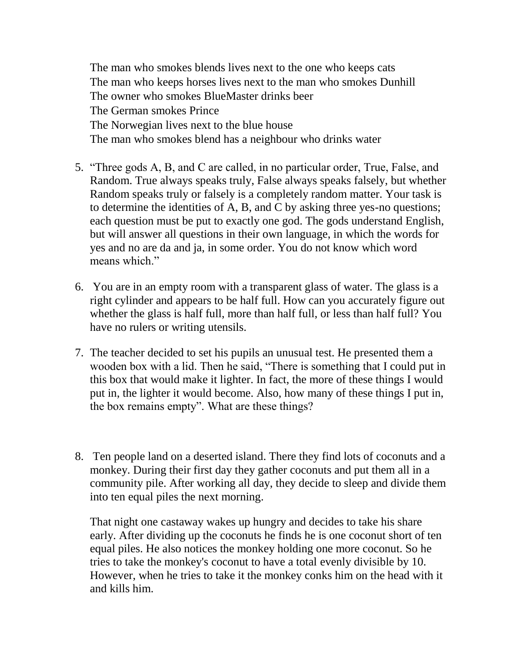The man who smokes blends lives next to the one who keeps cats The man who keeps horses lives next to the man who smokes Dunhill The owner who smokes BlueMaster drinks beer The German smokes Prince The Norwegian lives next to the blue house The man who smokes blend has a neighbour who drinks water

- 5. "Three gods A, B, and C are called, in no particular order, True, False, and Random. True always speaks truly, False always speaks falsely, but whether Random speaks truly or falsely is a completely random matter. Your task is to determine the identities of A, B, and C by asking three yes-no questions; each question must be put to exactly one god. The gods understand English, but will answer all questions in their own language, in which the words for yes and no are da and ja, in some order. You do not know which word means which."
- 6. You are in an empty room with a transparent glass of water. The glass is a right cylinder and appears to be half full. How can you accurately figure out whether the glass is half full, more than half full, or less than half full? You have no rulers or writing utensils.
- 7. The teacher decided to set his pupils an unusual test. He presented them a wooden box with a lid. Then he said, "There is something that I could put in this box that would make it lighter. In fact, the more of these things I would put in, the lighter it would become. Also, how many of these things I put in, the box remains empty". What are these things?
- 8. Ten people land on a deserted island. There they find lots of coconuts and a monkey. During their first day they gather coconuts and put them all in a community pile. After working all day, they decide to sleep and divide them into ten equal piles the next morning.

That night one castaway wakes up hungry and decides to take his share early. After dividing up the coconuts he finds he is one coconut short of ten equal piles. He also notices the monkey holding one more coconut. So he tries to take the monkey's coconut to have a total evenly divisible by 10. However, when he tries to take it the monkey conks him on the head with it and kills him.